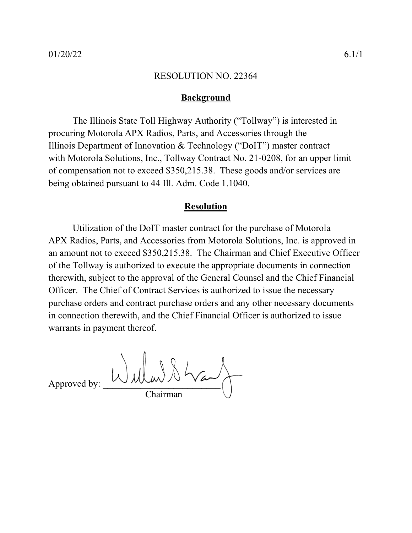## **Background**

The Illinois State Toll Highway Authority ("Tollway") is interested in procuring Motorola APX Radios, Parts, and Accessories through the Illinois Department of Innovation & Technology ("DoIT") master contract with Motorola Solutions, Inc., Tollway Contract No. 21-0208, for an upper limit of compensation not to exceed \$350,215.38. These goods and/or services are being obtained pursuant to 44 Ill. Adm. Code 1.1040.

## **Resolution**

Utilization of the DoIT master contract for the purchase of Motorola APX Radios, Parts, and Accessories from Motorola Solutions, Inc. is approved in an amount not to exceed \$350,215.38. The Chairman and Chief Executive Officer of the Tollway is authorized to execute the appropriate documents in connection therewith, subject to the approval of the General Counsel and the Chief Financial Officer. The Chief of Contract Services is authorized to issue the necessary purchase orders and contract purchase orders and any other necessary documents in connection therewith, and the Chief Financial Officer is authorized to issue warrants in payment thereof.

 $\Delta$  Approved by:  $\bigcup \mathcal{W}(\mathcal{A}) \$ Chairman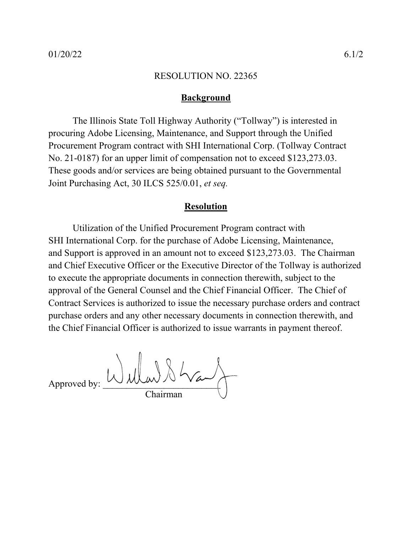## **Background**

The Illinois State Toll Highway Authority ("Tollway") is interested in procuring Adobe Licensing, Maintenance, and Support through the Unified Procurement Program contract with SHI International Corp. (Tollway Contract No. 21-0187) for an upper limit of compensation not to exceed \$123,273.03. These goods and/or services are being obtained pursuant to the Governmental Joint Purchasing Act, 30 ILCS 525/0.01, *et seq.*

## **Resolution**

Utilization of the Unified Procurement Program contract with SHI International Corp. for the purchase of Adobe Licensing, Maintenance, and Support is approved in an amount not to exceed \$123,273.03. The Chairman and Chief Executive Officer or the Executive Director of the Tollway is authorized to execute the appropriate documents in connection therewith, subject to the approval of the General Counsel and the Chief Financial Officer. The Chief of Contract Services is authorized to issue the necessary purchase orders and contract purchase orders and any other necessary documents in connection therewith, and the Chief Financial Officer is authorized to issue warrants in payment thereof.

Approved by: Wullar & Way Chairman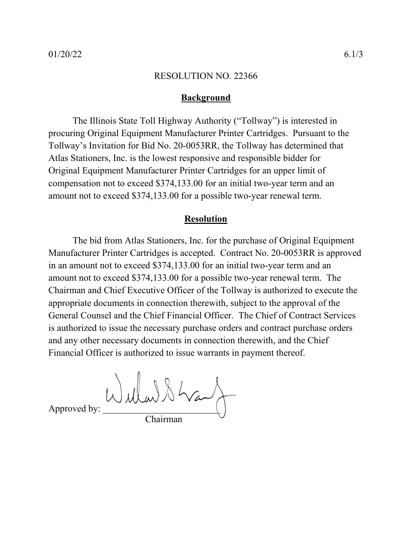## **Background**

The Illinois State Toll Highway Authority ("Tollway") is interested in procuring Original Equipment Manufacturer Printer Cartridges. Pursuant to the Tollway's Invitation for Bid No. 20-0053RR, the Tollway has determined that Atlas Stationers, Inc. is the lowest responsive and responsible bidder for Original Equipment Manufacturer Printer Cartridges for an upper limit of compensation not to exceed \$374,133.00 for an initial two-year term and an amount not to exceed \$374,133.00 for a possible two-year renewal term.

## **Resolution**

The bid from Atlas Stationers, Inc. for the purchase of Original Equipment Manufacturer Printer Cartridges is accepted. Contract No. 20-0053RR is approved in an amount not to exceed \$374,133.00 for an initial two-year term and an amount not to exceed \$374,133.00 for a possible two-year renewal term. The Chairman and Chief Executive Officer of the Tollway is authorized to execute the appropriate documents in connection therewith, subject to the approval of the General Counsel and the Chief Financial Officer. The Chief of Contract Services is authorized to issue the necessary purchase orders and contract purchase orders and any other necessary documents in connection therewith, and the Chief Financial Officer is authorized to issue warrants in payment thereof.

Approved by:  $Wd\mu w$   $\lambda \lambda$ Chairman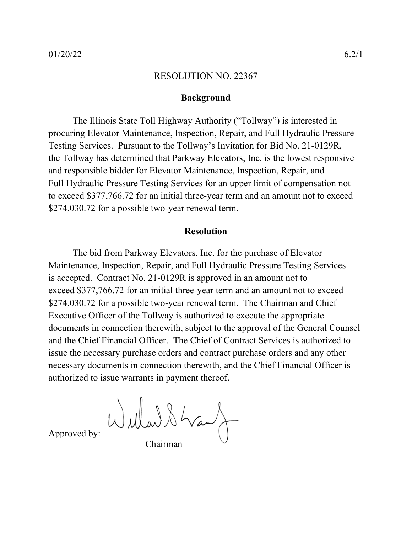## **Background**

The Illinois State Toll Highway Authority ("Tollway") is interested in procuring Elevator Maintenance, Inspection, Repair, and Full Hydraulic Pressure Testing Services. Pursuant to the Tollway's Invitation for Bid No. 21-0129R, the Tollway has determined that Parkway Elevators, Inc. is the lowest responsive and responsible bidder for Elevator Maintenance, Inspection, Repair, and Full Hydraulic Pressure Testing Services for an upper limit of compensation not to exceed \$377,766.72 for an initial three-year term and an amount not to exceed \$274,030.72 for a possible two-year renewal term.

## **Resolution**

The bid from Parkway Elevators, Inc. for the purchase of Elevator Maintenance, Inspection, Repair, and Full Hydraulic Pressure Testing Services is accepted. Contract No. 21-0129R is approved in an amount not to exceed \$377,766.72 for an initial three-year term and an amount not to exceed \$274,030.72 for a possible two-year renewal term. The Chairman and Chief Executive Officer of the Tollway is authorized to execute the appropriate documents in connection therewith, subject to the approval of the General Counsel and the Chief Financial Officer. The Chief of Contract Services is authorized to issue the necessary purchase orders and contract purchase orders and any other necessary documents in connection therewith, and the Chief Financial Officer is authorized to issue warrants in payment thereof.

 $\Delta$ 

Chairman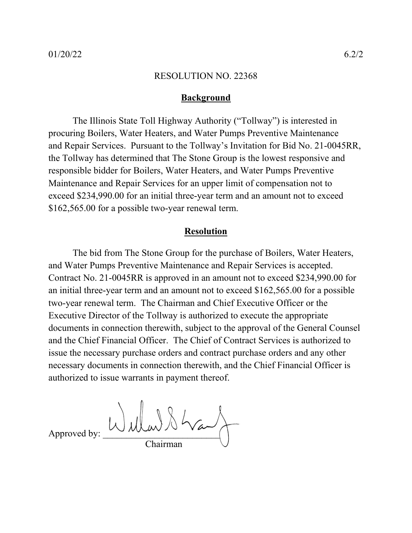## **Background**

The Illinois State Toll Highway Authority ("Tollway") is interested in procuring Boilers, Water Heaters, and Water Pumps Preventive Maintenance and Repair Services. Pursuant to the Tollway's Invitation for Bid No. 21-0045RR, the Tollway has determined that The Stone Group is the lowest responsive and responsible bidder for Boilers, Water Heaters, and Water Pumps Preventive Maintenance and Repair Services for an upper limit of compensation not to exceed \$234,990.00 for an initial three-year term and an amount not to exceed \$162,565.00 for a possible two-year renewal term.

## **Resolution**

The bid from The Stone Group for the purchase of Boilers, Water Heaters, and Water Pumps Preventive Maintenance and Repair Services is accepted. Contract No. 21-0045RR is approved in an amount not to exceed \$234,990.00 for an initial three-year term and an amount not to exceed \$162,565.00 for a possible two-year renewal term. The Chairman and Chief Executive Officer or the Executive Director of the Tollway is authorized to execute the appropriate documents in connection therewith, subject to the approval of the General Counsel and the Chief Financial Officer. The Chief of Contract Services is authorized to issue the necessary purchase orders and contract purchase orders and any other necessary documents in connection therewith, and the Chief Financial Officer is authorized to issue warrants in payment thereof.

Approved by: Chairman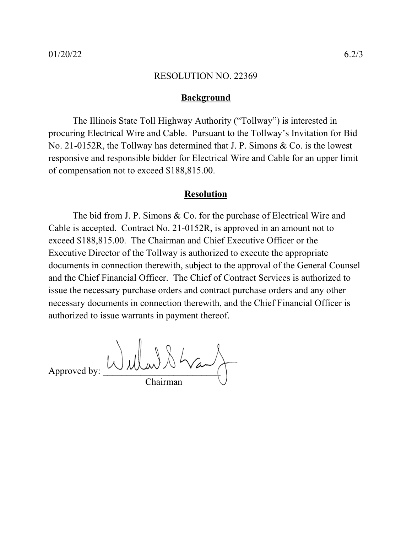## **Background**

The Illinois State Toll Highway Authority ("Tollway") is interested in procuring Electrical Wire and Cable. Pursuant to the Tollway's Invitation for Bid No. 21-0152R, the Tollway has determined that J. P. Simons & Co. is the lowest responsive and responsible bidder for Electrical Wire and Cable for an upper limit of compensation not to exceed \$188,815.00.

## **Resolution**

The bid from J. P. Simons & Co. for the purchase of Electrical Wire and Cable is accepted. Contract No. 21-0152R, is approved in an amount not to exceed \$188,815.00. The Chairman and Chief Executive Officer or the Executive Director of the Tollway is authorized to execute the appropriate documents in connection therewith, subject to the approval of the General Counsel and the Chief Financial Officer. The Chief of Contract Services is authorized to issue the necessary purchase orders and contract purchase orders and any other necessary documents in connection therewith, and the Chief Financial Officer is authorized to issue warrants in payment thereof.

Approved by:  $Wd\mu w$ Chairman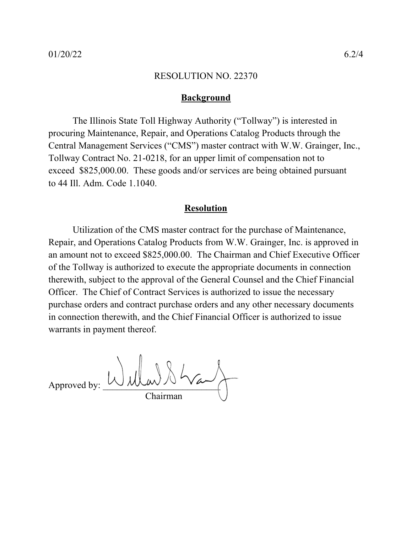## **Background**

The Illinois State Toll Highway Authority ("Tollway") is interested in procuring Maintenance, Repair, and Operations Catalog Products through the Central Management Services ("CMS") master contract with W.W. Grainger, Inc., Tollway Contract No. 21-0218, for an upper limit of compensation not to exceed \$825,000.00. These goods and/or services are being obtained pursuant to 44 Ill. Adm. Code 1.1040.

## **Resolution**

Utilization of the CMS master contract for the purchase of Maintenance, Repair, and Operations Catalog Products from W.W. Grainger, Inc. is approved in an amount not to exceed \$825,000.00. The Chairman and Chief Executive Officer of the Tollway is authorized to execute the appropriate documents in connection therewith, subject to the approval of the General Counsel and the Chief Financial Officer. The Chief of Contract Services is authorized to issue the necessary purchase orders and contract purchase orders and any other necessary documents in connection therewith, and the Chief Financial Officer is authorized to issue warrants in payment thereof.

 $A_{\text{approxed by:}} \cup \text{plus} \times \times \text{true}$ Chairman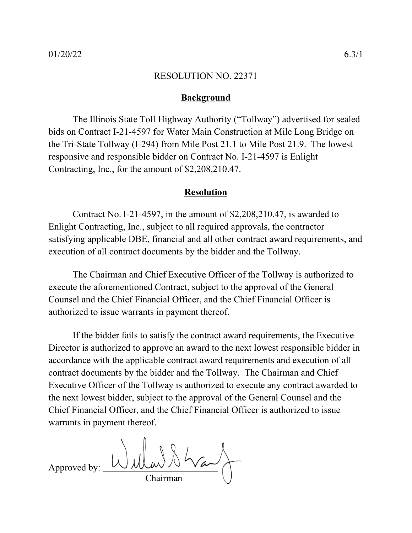## **Background**

The Illinois State Toll Highway Authority ("Tollway") advertised for sealed bids on Contract I-21-4597 for Water Main Construction at Mile Long Bridge on the Tri-State Tollway (I-294) from Mile Post 21.1 to Mile Post 21.9. The lowest responsive and responsible bidder on Contract No. I-21-4597 is Enlight Contracting, Inc., for the amount of \$2,208,210.47.

## **Resolution**

Contract No. I-21-4597, in the amount of \$2,208,210.47, is awarded to Enlight Contracting, Inc., subject to all required approvals, the contractor satisfying applicable DBE, financial and all other contract award requirements, and execution of all contract documents by the bidder and the Tollway.

The Chairman and Chief Executive Officer of the Tollway is authorized to execute the aforementioned Contract, subject to the approval of the General Counsel and the Chief Financial Officer, and the Chief Financial Officer is authorized to issue warrants in payment thereof.

If the bidder fails to satisfy the contract award requirements, the Executive Director is authorized to approve an award to the next lowest responsible bidder in accordance with the applicable contract award requirements and execution of all contract documents by the bidder and the Tollway. The Chairman and Chief Executive Officer of the Tollway is authorized to execute any contract awarded to the next lowest bidder, subject to the approval of the General Counsel and the Chief Financial Officer, and the Chief Financial Officer is authorized to issue warrants in payment thereof.

Approved by: Chairman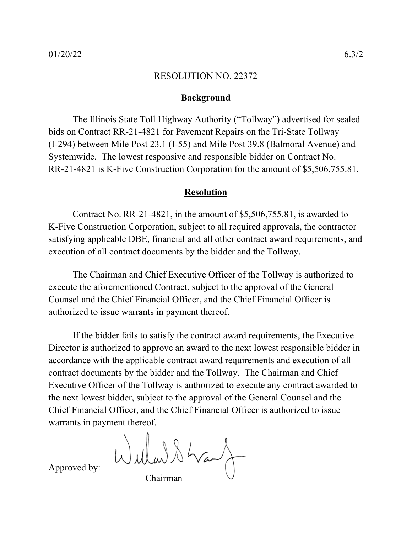## **Background**

The Illinois State Toll Highway Authority ("Tollway") advertised for sealed bids on Contract RR-21-4821 for Pavement Repairs on the Tri-State Tollway (I-294) between Mile Post 23.1 (I-55) and Mile Post 39.8 (Balmoral Avenue) and Systemwide. The lowest responsive and responsible bidder on Contract No. RR-21-4821 is K-Five Construction Corporation for the amount of \$5,506,755.81.

## **Resolution**

Contract No. RR-21-4821, in the amount of \$5,506,755.81, is awarded to K-Five Construction Corporation, subject to all required approvals, the contractor satisfying applicable DBE, financial and all other contract award requirements, and execution of all contract documents by the bidder and the Tollway.

The Chairman and Chief Executive Officer of the Tollway is authorized to execute the aforementioned Contract, subject to the approval of the General Counsel and the Chief Financial Officer, and the Chief Financial Officer is authorized to issue warrants in payment thereof.

If the bidder fails to satisfy the contract award requirements, the Executive Director is authorized to approve an award to the next lowest responsible bidder in accordance with the applicable contract award requirements and execution of all contract documents by the bidder and the Tollway. The Chairman and Chief Executive Officer of the Tollway is authorized to execute any contract awarded to the next lowest bidder, subject to the approval of the General Counsel and the Chief Financial Officer, and the Chief Financial Officer is authorized to issue warrants in payment thereof.

Willard Stranf

Approved by:

Chairman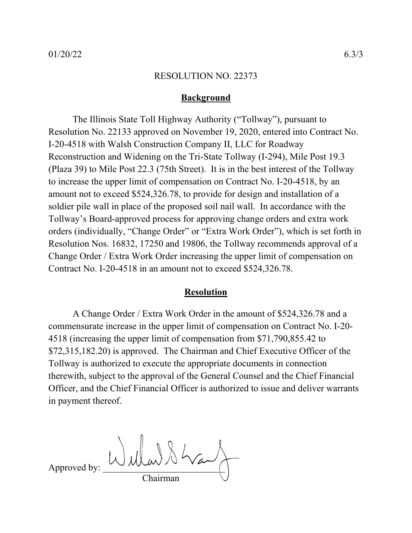## **Background**

The Illinois State Toll Highway Authority ("Tollway"), pursuant to Resolution No. 22133 approved on November 19, 2020, entered into Contract No. I-20-4518 with Walsh Construction Company II, LLC for Roadway Reconstruction and Widening on the Tri-State Tollway (I-294), Mile Post 19.3 (Plaza 39) to Mile Post 22.3 (75th Street). It is in the best interest of the Tollway to increase the upper limit of compensation on Contract No. I-20-4518, by an amount not to exceed \$524,326.78, to provide for design and installation of a soldier pile wall in place of the proposed soil nail wall. In accordance with the Tollway's Board-approved process for approving change orders and extra work orders (individually, "Change Order" or "Extra Work Order"), which is set forth in Resolution Nos. 16832, 17250 and 19806, the Tollway recommends approval of a Change Order / Extra Work Order increasing the upper limit of compensation on Contract No. I-20-4518 in an amount not to exceed \$524,326.78.

## **Resolution**

A Change Order / Extra Work Order in the amount of \$524,326.78 and a commensurate increase in the upper limit of compensation on Contract No. I-20- 4518 (increasing the upper limit of compensation from \$71,790,855.42 to \$72,315,182.20) is approved. The Chairman and Chief Executive Officer of the Tollway is authorized to execute the appropriate documents in connection therewith, subject to the approval of the General Counsel and the Chief Financial Officer, and the Chief Financial Officer is authorized to issue and deliver warrants in payment thereof.

Approved by: Wullar & Wa Chairman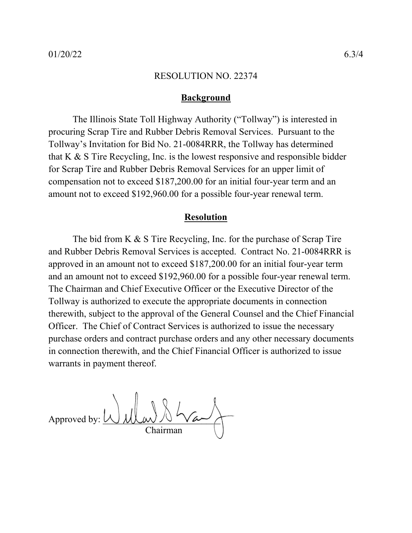## **Background**

The Illinois State Toll Highway Authority ("Tollway") is interested in procuring Scrap Tire and Rubber Debris Removal Services. Pursuant to the Tollway's Invitation for Bid No. 21-0084RRR, the Tollway has determined that K & S Tire Recycling, Inc. is the lowest responsive and responsible bidder for Scrap Tire and Rubber Debris Removal Services for an upper limit of compensation not to exceed \$187,200.00 for an initial four-year term and an amount not to exceed \$192,960.00 for a possible four-year renewal term.

## **Resolution**

The bid from K & S Tire Recycling, Inc. for the purchase of Scrap Tire and Rubber Debris Removal Services is accepted. Contract No. 21-0084RRR is approved in an amount not to exceed \$187,200.00 for an initial four-year term and an amount not to exceed \$192,960.00 for a possible four-year renewal term. The Chairman and Chief Executive Officer or the Executive Director of the Tollway is authorized to execute the appropriate documents in connection therewith, subject to the approval of the General Counsel and the Chief Financial Officer. The Chief of Contract Services is authorized to issue the necessary purchase orders and contract purchase orders and any other necessary documents in connection therewith, and the Chief Financial Officer is authorized to issue warrants in payment thereof.

Approved by:  $\overline{\bigcup_{\mathcal{C}}}$ Chairman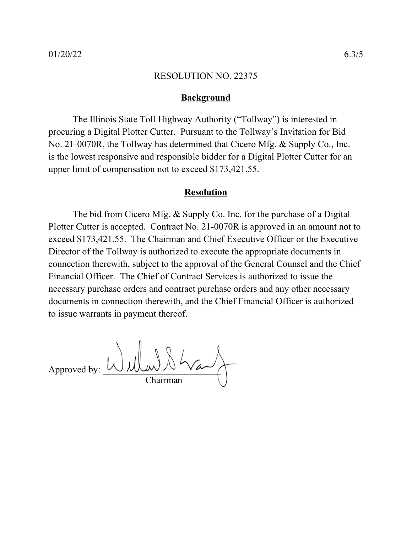## **Background**

The Illinois State Toll Highway Authority ("Tollway") is interested in procuring a Digital Plotter Cutter. Pursuant to the Tollway's Invitation for Bid No. 21-0070R, the Tollway has determined that Cicero Mfg. & Supply Co., Inc. is the lowest responsive and responsible bidder for a Digital Plotter Cutter for an upper limit of compensation not to exceed \$173,421.55.

## **Resolution**

The bid from Cicero Mfg. & Supply Co. Inc. for the purchase of a Digital Plotter Cutter is accepted. Contract No. 21-0070R is approved in an amount not to exceed \$173,421.55. The Chairman and Chief Executive Officer or the Executive Director of the Tollway is authorized to execute the appropriate documents in connection therewith, subject to the approval of the General Counsel and the Chief Financial Officer. The Chief of Contract Services is authorized to issue the necessary purchase orders and contract purchase orders and any other necessary documents in connection therewith, and the Chief Financial Officer is authorized to issue warrants in payment thereof.

Approved by:  $\iota$ Chairman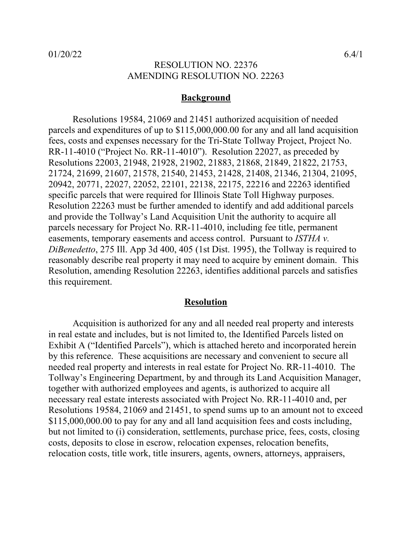## RESOLUTION NO. 22376 AMENDING RESOLUTION NO. 22263

## **Background**

Resolutions 19584, 21069 and 21451 authorized acquisition of needed parcels and expenditures of up to \$115,000,000.00 for any and all land acquisition fees, costs and expenses necessary for the Tri-State Tollway Project, Project No. RR-11-4010 ("Project No. RR-11-4010"). Resolution 22027, as preceded by Resolutions 22003, 21948, 21928, 21902, 21883, 21868, 21849, 21822, 21753, 21724, 21699, 21607, 21578, 21540, 21453, 21428, 21408, 21346, 21304, 21095, 20942, 20771, 22027, 22052, 22101, 22138, 22175, 22216 and 22263 identified specific parcels that were required for Illinois State Toll Highway purposes. Resolution 22263 must be further amended to identify and add additional parcels and provide the Tollway's Land Acquisition Unit the authority to acquire all parcels necessary for Project No. RR-11-4010, including fee title, permanent easements, temporary easements and access control. Pursuant to *ISTHA v. DiBenedetto*, 275 Ill. App 3d 400, 405 (1st Dist. 1995), the Tollway is required to reasonably describe real property it may need to acquire by eminent domain. This Resolution, amending Resolution 22263, identifies additional parcels and satisfies this requirement.

## **Resolution**

Acquisition is authorized for any and all needed real property and interests in real estate and includes, but is not limited to, the Identified Parcels listed on Exhibit A ("Identified Parcels"), which is attached hereto and incorporated herein by this reference. These acquisitions are necessary and convenient to secure all needed real property and interests in real estate for Project No. RR-11-4010. The Tollway's Engineering Department, by and through its Land Acquisition Manager, together with authorized employees and agents, is authorized to acquire all necessary real estate interests associated with Project No. RR-11-4010 and, per Resolutions 19584, 21069 and 21451, to spend sums up to an amount not to exceed \$115,000,000.00 to pay for any and all land acquisition fees and costs including, but not limited to (i) consideration, settlements, purchase price, fees, costs, closing costs, deposits to close in escrow, relocation expenses, relocation benefits, relocation costs, title work, title insurers, agents, owners, attorneys, appraisers,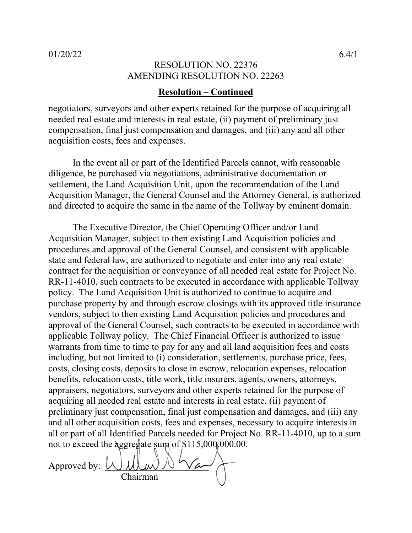## RESOLUTION NO. 22376 AMENDING RESOLUTION NO. 22263

## **Resolution – Continued**

negotiators, surveyors and other experts retained for the purpose of acquiring all needed real estate and interests in real estate, (ii) payment of preliminary just compensation, final just compensation and damages, and (iii) any and all other acquisition costs, fees and expenses.

In the event all or part of the Identified Parcels cannot, with reasonable diligence, be purchased via negotiations, administrative documentation or settlement, the Land Acquisition Unit, upon the recommendation of the Land Acquisition Manager, the General Counsel and the Attorney General, is authorized and directed to acquire the same in the name of the Tollway by eminent domain.

The Executive Director, the Chief Operating Officer and/or Land Acquisition Manager, subject to then existing Land Acquisition policies and procedures and approval of the General Counsel, and consistent with applicable state and federal law, are authorized to negotiate and enter into any real estate contract for the acquisition or conveyance of all needed real estate for Project No. RR-11-4010, such contracts to be executed in accordance with applicable Tollway policy. The Land Acquisition Unit is authorized to continue to acquire and purchase property by and through escrow closings with its approved title insurance vendors, subject to then existing Land Acquisition policies and procedures and approval of the General Counsel, such contracts to be executed in accordance with applicable Tollway policy. The Chief Financial Officer is authorized to issue warrants from time to time to pay for any and all land acquisition fees and costs including, but not limited to (i) consideration, settlements, purchase price, fees, costs, closing costs, deposits to close in escrow, relocation expenses, relocation benefits, relocation costs, title work, title insurers, agents, owners, attorneys, appraisers, negotiators, surveyors and other experts retained for the purpose of acquiring all needed real estate and interests in real estate, (ii) payment of preliminary just compensation, final just compensation and damages, and (iii) any and all other acquisition costs, fees and expenses, necessary to acquire interests in all or part of all Identified Parcels needed for Project No. RR-11-4010, up to a sum not to exceed the aggregate sum of \$115,000,000.00.

Approved by:  $\bigcup$ Chairman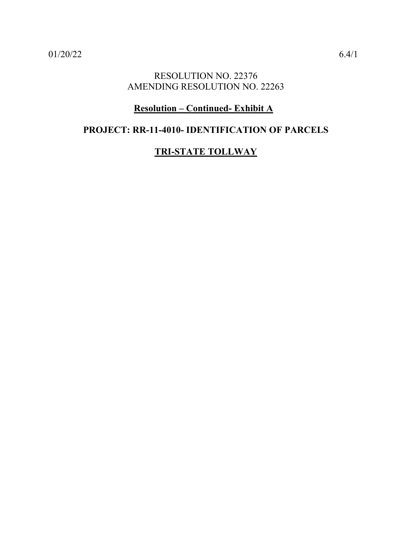## RESOLUTION NO. 22376 AMENDING RESOLUTION NO. 22263

## **Resolution – Continued- Exhibit A**

## **PROJECT: RR-11-4010- IDENTIFICATION OF PARCELS**

## **TRI-STATE TOLLWAY**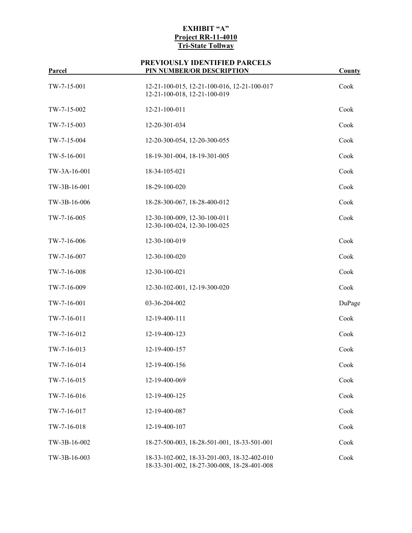| TW-7-15-001  | 12-21-100-015, 12-21-100-016, 12-21-100-017<br>12-21-100-018, 12-21-100-019                | Cook   |
|--------------|--------------------------------------------------------------------------------------------|--------|
| TW-7-15-002  | 12-21-100-011                                                                              | Cook   |
| TW-7-15-003  | 12-20-301-034                                                                              | Cook   |
| TW-7-15-004  | 12-20-300-054, 12-20-300-055                                                               | Cook   |
| TW-5-16-001  | 18-19-301-004, 18-19-301-005                                                               | Cook   |
| TW-3A-16-001 | 18-34-105-021                                                                              | Cook   |
| TW-3B-16-001 | 18-29-100-020                                                                              | Cook   |
| TW-3B-16-006 | 18-28-300-067, 18-28-400-012                                                               | Cook   |
| TW-7-16-005  | 12-30-100-009, 12-30-100-011<br>12-30-100-024, 12-30-100-025                               | Cook   |
| TW-7-16-006  | 12-30-100-019                                                                              | Cook   |
| TW-7-16-007  | 12-30-100-020                                                                              | Cook   |
| TW-7-16-008  | 12-30-100-021                                                                              | Cook   |
| TW-7-16-009  | 12-30-102-001, 12-19-300-020                                                               | Cook   |
| TW-7-16-001  | 03-36-204-002                                                                              | DuPage |
| TW-7-16-011  | 12-19-400-111                                                                              | Cook   |
| TW-7-16-012  | 12-19-400-123                                                                              | Cook   |
| TW-7-16-013  | 12-19-400-157                                                                              | Cook   |
| TW-7-16-014  | 12-19-400-156                                                                              | Cook   |
| TW-7-16-015  | 12-19-400-069                                                                              | Cook   |
| TW-7-16-016  | 12-19-400-125                                                                              | Cook   |
| TW-7-16-017  | 12-19-400-087                                                                              | Cook   |
| TW-7-16-018  | 12-19-400-107                                                                              | Cook   |
| TW-3B-16-002 | 18-27-500-003, 18-28-501-001, 18-33-501-001                                                | Cook   |
| TW-3B-16-003 | 18-33-102-002, 18-33-201-003, 18-32-402-010<br>18-33-301-002, 18-27-300-008, 18-28-401-008 | Cook   |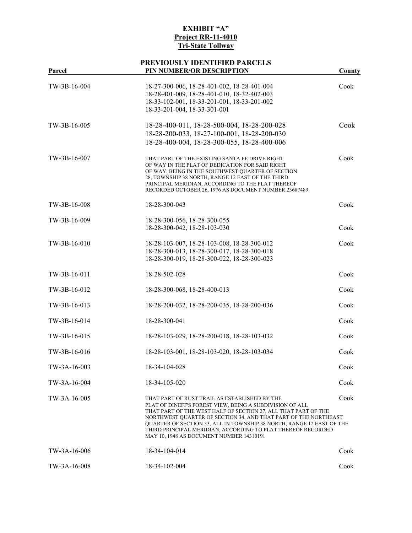# **PREVIOUSLY IDENTIFIED PARCELS**

| Parcel       | кооэрт тренттгэрт гансеры<br>PIN NUMBER/OR DESCRIPTION                                                                                                                                                                                                                                                                                                                                                                              | County |
|--------------|-------------------------------------------------------------------------------------------------------------------------------------------------------------------------------------------------------------------------------------------------------------------------------------------------------------------------------------------------------------------------------------------------------------------------------------|--------|
| TW-3B-16-004 | 18-27-300-006, 18-28-401-002, 18-28-401-004<br>18-28-401-009, 18-28-401-010, 18-32-402-003<br>18-33-102-001, 18-33-201-001, 18-33-201-002<br>18-33-201-004, 18-33-301-001                                                                                                                                                                                                                                                           | Cook   |
| TW-3B-16-005 | 18-28-400-011, 18-28-500-004, 18-28-200-028<br>18-28-200-033, 18-27-100-001, 18-28-200-030<br>18-28-400-004, 18-28-300-055, 18-28-400-006                                                                                                                                                                                                                                                                                           | Cook   |
| TW-3B-16-007 | THAT PART OF THE EXISTING SANTA FE DRIVE RIGHT<br>OF WAY IN THE PLAT OF DEDICATION FOR SAID RIGHT<br>OF WAY, BEING IN THE SOUTHWEST QUARTER OF SECTION<br>28, TOWNSHIP 38 NORTH, RANGE 12 EAST OF THE THIRD<br>PRINCIPAL MERIDIAN, ACCORDING TO THE PLAT THEREOF<br>RECORDED OCTOBER 26, 1976 AS DOCUMENT NUMBER 23687489                                                                                                           | Cook   |
| TW-3B-16-008 | 18-28-300-043                                                                                                                                                                                                                                                                                                                                                                                                                       | Cook   |
| TW-3B-16-009 | 18-28-300-056, 18-28-300-055<br>18-28-300-042, 18-28-103-030                                                                                                                                                                                                                                                                                                                                                                        | Cook   |
| TW-3B-16-010 | 18-28-103-007, 18-28-103-008, 18-28-300-012<br>18-28-300-013, 18-28-300-017, 18-28-300-018<br>18-28-300-019, 18-28-300-022, 18-28-300-023                                                                                                                                                                                                                                                                                           | Cook   |
| TW-3B-16-011 | 18-28-502-028                                                                                                                                                                                                                                                                                                                                                                                                                       | Cook   |
| TW-3B-16-012 | 18-28-300-068, 18-28-400-013                                                                                                                                                                                                                                                                                                                                                                                                        | Cook   |
| TW-3B-16-013 | 18-28-200-032, 18-28-200-035, 18-28-200-036                                                                                                                                                                                                                                                                                                                                                                                         | Cook   |
| TW-3B-16-014 | 18-28-300-041                                                                                                                                                                                                                                                                                                                                                                                                                       | Cook   |
| TW-3B-16-015 | 18-28-103-029, 18-28-200-018, 18-28-103-032                                                                                                                                                                                                                                                                                                                                                                                         | Cook   |
| TW-3B-16-016 | 18-28-103-001, 18-28-103-020, 18-28-103-034                                                                                                                                                                                                                                                                                                                                                                                         | Cook   |
| TW-3A-16-003 | 18-34-104-028                                                                                                                                                                                                                                                                                                                                                                                                                       | Cook   |
| TW-3A-16-004 | 18-34-105-020                                                                                                                                                                                                                                                                                                                                                                                                                       | Cook   |
| TW-3A-16-005 | THAT PART OF RUST TRAIL AS ESTABLISHED BY THE<br>PLAT OF DINEFF'S FOREST VIEW, BEING A SUBDIVISION OF ALL<br>THAT PART OF THE WEST HALF OF SECTION 27, ALL THAT PART OF THE<br>NORTHWEST QUARTER OF SECTION 34, AND THAT PART OF THE NORTHEAST<br>QUARTER OF SECTION 33, ALL IN TOWNSHIP 38 NORTH, RANGE 12 EAST OF THE<br>THIRD PRINCIPAL MERIDIAN, ACCORDING TO PLAT THEREOF RECORDED<br>MAY 10, 1948 AS DOCUMENT NUMBER 14310191 | Cook   |
| TW-3A-16-006 | 18-34-104-014                                                                                                                                                                                                                                                                                                                                                                                                                       | Cook   |
| TW-3A-16-008 | 18-34-102-004                                                                                                                                                                                                                                                                                                                                                                                                                       | Cook   |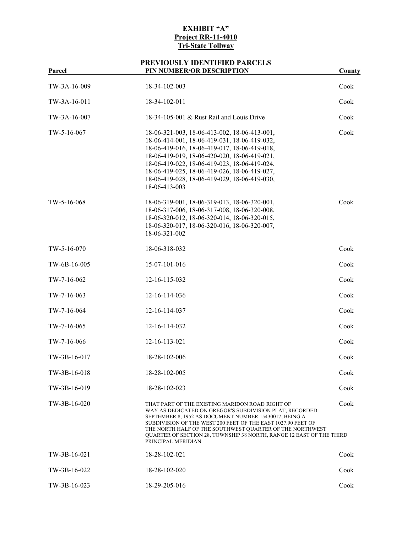| Parcel        | PIN NUMBER/OR DESCRIPTION                                                                                                                                                                                                                                                                                                                                                                      | County |
|---------------|------------------------------------------------------------------------------------------------------------------------------------------------------------------------------------------------------------------------------------------------------------------------------------------------------------------------------------------------------------------------------------------------|--------|
| TW-3A-16-009  | 18-34-102-003                                                                                                                                                                                                                                                                                                                                                                                  | Cook   |
| TW-3A-16-011  | 18-34-102-011                                                                                                                                                                                                                                                                                                                                                                                  | Cook   |
| TW-3A-16-007  | 18-34-105-001 & Rust Rail and Louis Drive                                                                                                                                                                                                                                                                                                                                                      | Cook   |
| TW-5-16-067   | 18-06-321-003, 18-06-413-002, 18-06-413-001,<br>18-06-414-001, 18-06-419-031, 18-06-419-032,<br>18-06-419-016, 18-06-419-017, 18-06-419-018,<br>18-06-419-019, 18-06-420-020, 18-06-419-021,<br>18-06-419-022, 18-06-419-023, 18-06-419-024,<br>18-06-419-025, 18-06-419-026, 18-06-419-027,<br>18-06-419-028, 18-06-419-029, 18-06-419-030,<br>18-06-413-003                                  | Cook   |
| TW-5-16-068   | 18-06-319-001, 18-06-319-013, 18-06-320-001,<br>18-06-317-006, 18-06-317-008, 18-06-320-008,<br>18-06-320-012, 18-06-320-014, 18-06-320-015,<br>18-06-320-017, 18-06-320-016, 18-06-320-007,<br>18-06-321-002                                                                                                                                                                                  | Cook   |
| $TW-5-16-070$ | 18-06-318-032                                                                                                                                                                                                                                                                                                                                                                                  | Cook   |
| TW-6B-16-005  | 15-07-101-016                                                                                                                                                                                                                                                                                                                                                                                  | Cook   |
| TW-7-16-062   | 12-16-115-032                                                                                                                                                                                                                                                                                                                                                                                  | Cook   |
| $TW-7-16-063$ | 12-16-114-036                                                                                                                                                                                                                                                                                                                                                                                  | Cook   |
| TW-7-16-064   | 12-16-114-037                                                                                                                                                                                                                                                                                                                                                                                  | Cook   |
| TW-7-16-065   | 12-16-114-032                                                                                                                                                                                                                                                                                                                                                                                  | Cook   |
| TW-7-16-066   | 12-16-113-021                                                                                                                                                                                                                                                                                                                                                                                  | Cook   |
| TW-3B-16-017  | 18-28-102-006                                                                                                                                                                                                                                                                                                                                                                                  | Cook   |
| TW-3B-16-018  | 18-28-102-005                                                                                                                                                                                                                                                                                                                                                                                  | Cook   |
| TW-3B-16-019  | 18-28-102-023                                                                                                                                                                                                                                                                                                                                                                                  | Cook   |
| TW-3B-16-020  | THAT PART OF THE EXISTING MARIDON ROAD RIGHT OF<br>WAY AS DEDICATED ON GREGOR'S SUBDIVISION PLAT, RECORDED<br>SEPTEMBER 8, 1952 AS DOCUMENT NUMBER 15430017, BEING A<br>SUBDIVISION OF THE WEST 200 FEET OF THE EAST 1027.90 FEET OF<br>THE NORTH HALF OF THE SOUTHWEST QUARTER OF THE NORTHWEST<br>QUARTER OF SECTION 28, TOWNSHIP 38 NORTH, RANGE 12 EAST OF THE THIRD<br>PRINCIPAL MERIDIAN | Cook   |
| TW-3B-16-021  | 18-28-102-021                                                                                                                                                                                                                                                                                                                                                                                  | Cook   |
| TW-3B-16-022  | 18-28-102-020                                                                                                                                                                                                                                                                                                                                                                                  | Cook   |
| TW-3B-16-023  | 18-29-205-016                                                                                                                                                                                                                                                                                                                                                                                  | Cook   |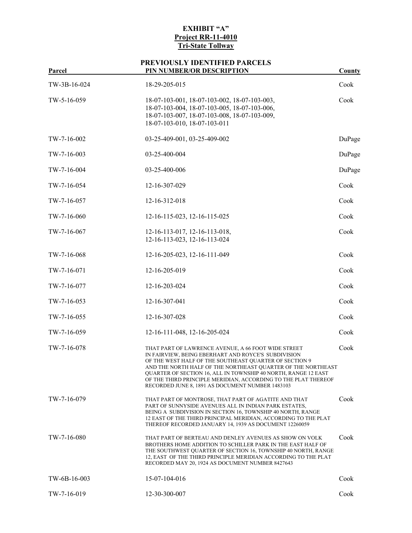# **PREVIOUSLY IDENTIFIED PARCELS**

| <b>Parcel</b> | <b>PIN NUMBER/OR DESCRIPTION</b>                                                                                                                                                                                                                                                                                                                                                                                             | <b>County</b> |
|---------------|------------------------------------------------------------------------------------------------------------------------------------------------------------------------------------------------------------------------------------------------------------------------------------------------------------------------------------------------------------------------------------------------------------------------------|---------------|
| TW-3B-16-024  | 18-29-205-015                                                                                                                                                                                                                                                                                                                                                                                                                | Cook          |
| TW-5-16-059   | 18-07-103-001, 18-07-103-002, 18-07-103-003,<br>18-07-103-004, 18-07-103-005, 18-07-103-006,<br>18-07-103-007, 18-07-103-008, 18-07-103-009,<br>18-07-103-010, 18-07-103-011                                                                                                                                                                                                                                                 | Cook          |
| TW-7-16-002   | 03-25-409-001, 03-25-409-002                                                                                                                                                                                                                                                                                                                                                                                                 | DuPage        |
| TW-7-16-003   | 03-25-400-004                                                                                                                                                                                                                                                                                                                                                                                                                | DuPage        |
| TW-7-16-004   | 03-25-400-006                                                                                                                                                                                                                                                                                                                                                                                                                | DuPage        |
| TW-7-16-054   | 12-16-307-029                                                                                                                                                                                                                                                                                                                                                                                                                | Cook          |
| TW-7-16-057   | 12-16-312-018                                                                                                                                                                                                                                                                                                                                                                                                                | Cook          |
| TW-7-16-060   | 12-16-115-023, 12-16-115-025                                                                                                                                                                                                                                                                                                                                                                                                 | Cook          |
| TW-7-16-067   | 12-16-113-017, 12-16-113-018,<br>12-16-113-023, 12-16-113-024                                                                                                                                                                                                                                                                                                                                                                | Cook          |
| TW-7-16-068   | 12-16-205-023, 12-16-111-049                                                                                                                                                                                                                                                                                                                                                                                                 | Cook          |
| TW-7-16-071   | 12-16-205-019                                                                                                                                                                                                                                                                                                                                                                                                                | Cook          |
| TW-7-16-077   | 12-16-203-024                                                                                                                                                                                                                                                                                                                                                                                                                | Cook          |
| TW-7-16-053   | 12-16-307-041                                                                                                                                                                                                                                                                                                                                                                                                                | Cook          |
| TW-7-16-055   | 12-16-307-028                                                                                                                                                                                                                                                                                                                                                                                                                | Cook          |
| TW-7-16-059   | 12-16-111-048, 12-16-205-024                                                                                                                                                                                                                                                                                                                                                                                                 | Cook          |
| TW-7-16-078   | THAT PART OF LAWRENCE AVENUE, A 66 FOOT WIDE STREET<br>IN FAIRVIEW, BEING EBERHART AND ROYCE'S SUBDIVISION<br>OF THE WEST HALF OF THE SOUTHEAST QUARTER OF SECTION 9<br>AND THE NORTH HALF OF THE NORTHEAST QUARTER OF THE NORTHEAST<br>QUARTER OF SECTION 16, ALL IN TOWNSHIP 40 NORTH, RANGE 12 EAST<br>OF THE THIRD PRINCIPLE MERIDIAN, ACCORDING TO THE PLAT THEREOF<br>RECORDED JUNE 8, 1891 AS DOCUMENT NUMBER 1483103 | Cook          |
| TW-7-16-079   | THAT PART OF MONTROSE, THAT PART OF AGATITE AND THAT<br>PART OF SUNNYSIDE AVENUES ALL IN INDIAN PARK ESTATES,<br>BEING A SUBDIVISION IN SECTION 16, TOWNSHIP 40 NORTH, RANGE<br>12 EAST OF THE THIRD PRINCIPAL MERIDIAN, ACCORDING TO THE PLAT<br>THEREOF RECORDED JANUARY 14, 1939 AS DOCUMENT 12260059                                                                                                                     | Cook          |
| TW-7-16-080   | THAT PART OF BERTEAU AND DENLEY AVENUES AS SHOW ON VOLK<br>BROTHERS HOME ADDITION TO SCHILLER PARK IN THE EAST HALF OF<br>THE SOUTHWEST QUARTER OF SECTION 16, TOWNSHIP 40 NORTH, RANGE<br>12, EAST OF THE THIRD PRINCIPLE MERIDIAN ACCORDING TO THE PLAT<br>RECORDED MAY 20, 1924 AS DOCUMENT NUMBER 8427643                                                                                                                | Cook          |
| TW-6B-16-003  | 15-07-104-016                                                                                                                                                                                                                                                                                                                                                                                                                | Cook          |
| TW-7-16-019   | 12-30-300-007                                                                                                                                                                                                                                                                                                                                                                                                                | Cook          |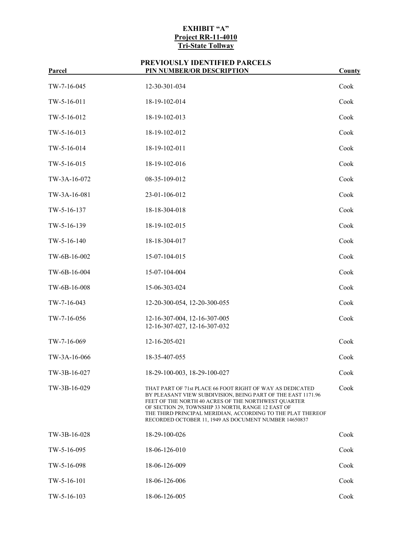# **PREVIOUSLY IDENTIFIED PARCELS**

| Parcel       | PIN NUMBER/OR DESCRIPTION                                                                                                                                                                                                                                                                                                                                      | <b>County</b> |
|--------------|----------------------------------------------------------------------------------------------------------------------------------------------------------------------------------------------------------------------------------------------------------------------------------------------------------------------------------------------------------------|---------------|
| TW-7-16-045  | 12-30-301-034                                                                                                                                                                                                                                                                                                                                                  | Cook          |
| TW-5-16-011  | 18-19-102-014                                                                                                                                                                                                                                                                                                                                                  | Cook          |
| TW-5-16-012  | 18-19-102-013                                                                                                                                                                                                                                                                                                                                                  | Cook          |
| TW-5-16-013  | 18-19-102-012                                                                                                                                                                                                                                                                                                                                                  | Cook          |
| TW-5-16-014  | 18-19-102-011                                                                                                                                                                                                                                                                                                                                                  | Cook          |
| TW-5-16-015  | 18-19-102-016                                                                                                                                                                                                                                                                                                                                                  | Cook          |
| TW-3A-16-072 | 08-35-109-012                                                                                                                                                                                                                                                                                                                                                  | Cook          |
| TW-3A-16-081 | 23-01-106-012                                                                                                                                                                                                                                                                                                                                                  | Cook          |
| TW-5-16-137  | 18-18-304-018                                                                                                                                                                                                                                                                                                                                                  | Cook          |
| TW-5-16-139  | 18-19-102-015                                                                                                                                                                                                                                                                                                                                                  | Cook          |
| TW-5-16-140  | 18-18-304-017                                                                                                                                                                                                                                                                                                                                                  | Cook          |
| TW-6B-16-002 | 15-07-104-015                                                                                                                                                                                                                                                                                                                                                  | Cook          |
| TW-6B-16-004 | 15-07-104-004                                                                                                                                                                                                                                                                                                                                                  | Cook          |
| TW-6B-16-008 | 15-06-303-024                                                                                                                                                                                                                                                                                                                                                  | Cook          |
| TW-7-16-043  | 12-20-300-054, 12-20-300-055                                                                                                                                                                                                                                                                                                                                   | Cook          |
| TW-7-16-056  | 12-16-307-004, 12-16-307-005<br>12-16-307-027, 12-16-307-032                                                                                                                                                                                                                                                                                                   | Cook          |
| TW-7-16-069  | 12-16-205-021                                                                                                                                                                                                                                                                                                                                                  | Cook          |
| TW-3A-16-066 | 18-35-407-055                                                                                                                                                                                                                                                                                                                                                  | Cook          |
| TW-3B-16-027 | 18-29-100-003, 18-29-100-027                                                                                                                                                                                                                                                                                                                                   | Cook          |
| TW-3B-16-029 | THAT PART OF 71st PLACE 66 FOOT RIGHT OF WAY AS DEDICATED<br>BY PLEASANT VIEW SUBDIVISION, BEING PART OF THE EAST 1171.96<br>FEET OF THE NORTH 40 ACRES OF THE NORTHWEST QUARTER<br>OF SECTION 29, TOWNSHIP 33 NORTH, RANGE 12 EAST OF<br>THE THIRD PRINCIPAL MERIDIAN, ACCORDING TO THE PLAT THEREOF<br>RECORDED OCTOBER 11, 1949 AS DOCUMENT NUMBER 14650837 | Cook          |
| TW-3B-16-028 | 18-29-100-026                                                                                                                                                                                                                                                                                                                                                  | Cook          |
| TW-5-16-095  | 18-06-126-010                                                                                                                                                                                                                                                                                                                                                  | Cook          |
| TW-5-16-098  | 18-06-126-009                                                                                                                                                                                                                                                                                                                                                  | Cook          |
| TW-5-16-101  | 18-06-126-006                                                                                                                                                                                                                                                                                                                                                  | Cook          |
| TW-5-16-103  | 18-06-126-005                                                                                                                                                                                                                                                                                                                                                  | Cook          |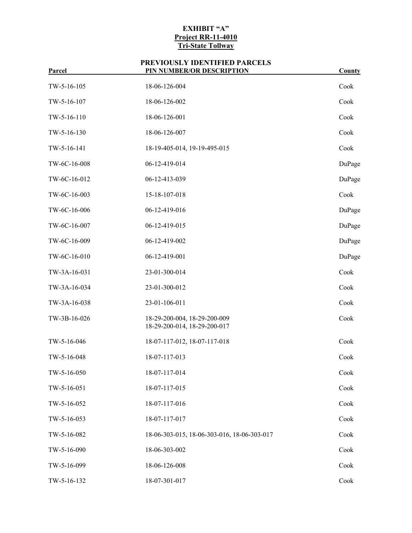| <u>rarcei</u> | PIN NUMBER/OK DESCRIPTION                                    | County |
|---------------|--------------------------------------------------------------|--------|
| TW-5-16-105   | 18-06-126-004                                                | Cook   |
| TW-5-16-107   | 18-06-126-002                                                | Cook   |
| TW-5-16-110   | 18-06-126-001                                                | Cook   |
| TW-5-16-130   | 18-06-126-007                                                | Cook   |
| TW-5-16-141   | 18-19-405-014, 19-19-495-015                                 | Cook   |
| TW-6C-16-008  | 06-12-419-014                                                | DuPage |
| TW-6C-16-012  | 06-12-413-039                                                | DuPage |
| TW-6C-16-003  | 15-18-107-018                                                | Cook   |
| TW-6C-16-006  | 06-12-419-016                                                | DuPage |
| TW-6C-16-007  | 06-12-419-015                                                | DuPage |
| TW-6C-16-009  | 06-12-419-002                                                | DuPage |
| TW-6C-16-010  | 06-12-419-001                                                | DuPage |
| TW-3A-16-031  | 23-01-300-014                                                | Cook   |
| TW-3A-16-034  | 23-01-300-012                                                | Cook   |
| TW-3A-16-038  | 23-01-106-011                                                | Cook   |
| TW-3B-16-026  | 18-29-200-004, 18-29-200-009<br>18-29-200-014, 18-29-200-017 | Cook   |
| TW-5-16-046   | 18-07-117-012, 18-07-117-018                                 | Cook   |
| TW-5-16-048   | 18-07-117-013                                                | Cook   |
| TW-5-16-050   | 18-07-117-014                                                | Cook   |
| TW-5-16-051   | 18-07-117-015                                                | Cook   |
| TW-5-16-052   | 18-07-117-016                                                | Cook   |
| TW-5-16-053   | 18-07-117-017                                                | Cook   |
| TW-5-16-082   | 18-06-303-015, 18-06-303-016, 18-06-303-017                  | Cook   |
| TW-5-16-090   | 18-06-303-002                                                | Cook   |
| TW-5-16-099   | 18-06-126-008                                                | Cook   |
| TW-5-16-132   | 18-07-301-017                                                | Cook   |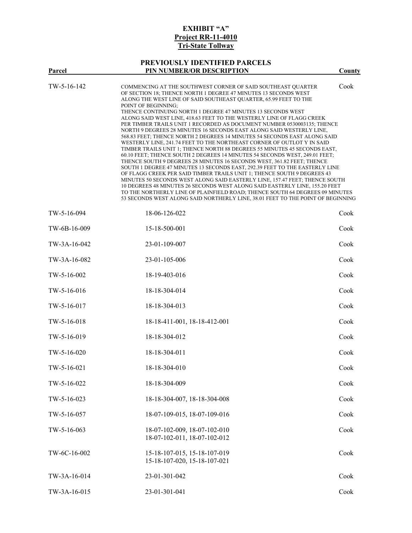# **PREVIOUSLY IDENTIFIED PARCELS**

|               | FREVIOUSLY IDENTIFIED FARCELS                                                                                                                                                                                                                                                                                                                                                                                                                                                                                                                                                                                                                                                                                                                                                                                                                                                                                                                                                                                                                                                                                                                                                                                                                                                                                                                                                                                 |        |
|---------------|---------------------------------------------------------------------------------------------------------------------------------------------------------------------------------------------------------------------------------------------------------------------------------------------------------------------------------------------------------------------------------------------------------------------------------------------------------------------------------------------------------------------------------------------------------------------------------------------------------------------------------------------------------------------------------------------------------------------------------------------------------------------------------------------------------------------------------------------------------------------------------------------------------------------------------------------------------------------------------------------------------------------------------------------------------------------------------------------------------------------------------------------------------------------------------------------------------------------------------------------------------------------------------------------------------------------------------------------------------------------------------------------------------------|--------|
| Parcel        | PIN NUMBER/OR DESCRIPTION                                                                                                                                                                                                                                                                                                                                                                                                                                                                                                                                                                                                                                                                                                                                                                                                                                                                                                                                                                                                                                                                                                                                                                                                                                                                                                                                                                                     | County |
| $TW-5-16-142$ | COMMENCING AT THE SOUTHWEST CORNER OF SAID SOUTHEAST QUARTER<br>OF SECTION 18; THENCE NORTH 1 DEGREE 47 MINUTES 13 SECONDS WEST<br>ALONG THE WEST LINE OF SAID SOUTHEAST QUARTER, 65.99 FEET TO THE<br>POINT OF BEGINNING;<br>THENCE CONTINUING NORTH 1 DEGREE 47 MINUTES 13 SECONDS WEST<br>ALONG SAID WEST LINE, 418.63 FEET TO THE WESTERLY LINE OF FLAGG CREEK<br>PER TIMBER TRAILS UNIT 1 RECORDED AS DOCUMENT NUMBER 0530003135; THENCE<br>NORTH 9 DEGREES 28 MINUTES 16 SECONDS EAST ALONG SAID WESTERLY LINE,<br>568.83 FEET; THENCE NORTH 2 DEGREES 14 MINUTES 54 SECONDS EAST ALONG SAID<br>WESTERLY LINE, 241.74 FEET TO THE NORTHEAST CORNER OF OUTLOT Y IN SAID<br>TIMBER TRAILS UNIT 1; THENCE NORTH 88 DEGREES 55 MINUTES 45 SECONDS EAST,<br>60.10 FEET; THENCE SOUTH 2 DEGREES 14 MINUTES 54 SECONDS WEST, 249.01 FEET;<br>THENCE SOUTH 9 DEGREES 28 MINUTES 16 SECONDS WEST, 361.82 FEET; THENCE<br>SOUTH 1 DEGREE 47 MINUTES 13 SECONDS EAST, 292.39 FEET TO THE EASTERLY LINE<br>OF FLAGG CREEK PER SAID TIMBER TRAILS UNIT 1; THENCE SOUTH 9 DEGREES 43<br>MINUTES 50 SECONDS WEST ALONG SAID EASTERLY LINE, 157.47 FEET; THENCE SOUTH<br>10 DEGREES 48 MINUTES 26 SECONDS WEST ALONG SAID EASTERLY LINE, 155.20 FEET<br>TO THE NORTHERLY LINE OF PLAINFIELD ROAD; THENCE SOUTH 64 DEGREES 09 MINUTES<br>53 SECONDS WEST ALONG SAID NORTHERLY LINE, 38.01 FEET TO THE POINT OF BEGINNING | Cook   |
| TW-5-16-094   | 18-06-126-022                                                                                                                                                                                                                                                                                                                                                                                                                                                                                                                                                                                                                                                                                                                                                                                                                                                                                                                                                                                                                                                                                                                                                                                                                                                                                                                                                                                                 | Cook   |
| TW-6B-16-009  | 15-18-500-001                                                                                                                                                                                                                                                                                                                                                                                                                                                                                                                                                                                                                                                                                                                                                                                                                                                                                                                                                                                                                                                                                                                                                                                                                                                                                                                                                                                                 | Cook   |
| TW-3A-16-042  | 23-01-109-007                                                                                                                                                                                                                                                                                                                                                                                                                                                                                                                                                                                                                                                                                                                                                                                                                                                                                                                                                                                                                                                                                                                                                                                                                                                                                                                                                                                                 | Cook   |
| TW-3A-16-082  | 23-01-105-006                                                                                                                                                                                                                                                                                                                                                                                                                                                                                                                                                                                                                                                                                                                                                                                                                                                                                                                                                                                                                                                                                                                                                                                                                                                                                                                                                                                                 | Cook   |
| TW-5-16-002   | 18-19-403-016                                                                                                                                                                                                                                                                                                                                                                                                                                                                                                                                                                                                                                                                                                                                                                                                                                                                                                                                                                                                                                                                                                                                                                                                                                                                                                                                                                                                 | Cook   |
| TW-5-16-016   | 18-18-304-014                                                                                                                                                                                                                                                                                                                                                                                                                                                                                                                                                                                                                                                                                                                                                                                                                                                                                                                                                                                                                                                                                                                                                                                                                                                                                                                                                                                                 | Cook   |
| TW-5-16-017   | 18-18-304-013                                                                                                                                                                                                                                                                                                                                                                                                                                                                                                                                                                                                                                                                                                                                                                                                                                                                                                                                                                                                                                                                                                                                                                                                                                                                                                                                                                                                 | Cook   |
| TW-5-16-018   | 18-18-411-001, 18-18-412-001                                                                                                                                                                                                                                                                                                                                                                                                                                                                                                                                                                                                                                                                                                                                                                                                                                                                                                                                                                                                                                                                                                                                                                                                                                                                                                                                                                                  | Cook   |
| TW-5-16-019   | 18-18-304-012                                                                                                                                                                                                                                                                                                                                                                                                                                                                                                                                                                                                                                                                                                                                                                                                                                                                                                                                                                                                                                                                                                                                                                                                                                                                                                                                                                                                 | Cook   |
| $TW-5-16-020$ | 18-18-304-011                                                                                                                                                                                                                                                                                                                                                                                                                                                                                                                                                                                                                                                                                                                                                                                                                                                                                                                                                                                                                                                                                                                                                                                                                                                                                                                                                                                                 | Cook   |
| TW-5-16-021   | 18-18-304-010                                                                                                                                                                                                                                                                                                                                                                                                                                                                                                                                                                                                                                                                                                                                                                                                                                                                                                                                                                                                                                                                                                                                                                                                                                                                                                                                                                                                 | Cook   |
| TW-5-16-022   | 18-18-304-009                                                                                                                                                                                                                                                                                                                                                                                                                                                                                                                                                                                                                                                                                                                                                                                                                                                                                                                                                                                                                                                                                                                                                                                                                                                                                                                                                                                                 | Cook   |
| TW-5-16-023   | 18-18-304-007, 18-18-304-008                                                                                                                                                                                                                                                                                                                                                                                                                                                                                                                                                                                                                                                                                                                                                                                                                                                                                                                                                                                                                                                                                                                                                                                                                                                                                                                                                                                  | Cook   |
| TW-5-16-057   | 18-07-109-015, 18-07-109-016                                                                                                                                                                                                                                                                                                                                                                                                                                                                                                                                                                                                                                                                                                                                                                                                                                                                                                                                                                                                                                                                                                                                                                                                                                                                                                                                                                                  | Cook   |
| TW-5-16-063   | 18-07-102-009, 18-07-102-010<br>18-07-102-011, 18-07-102-012                                                                                                                                                                                                                                                                                                                                                                                                                                                                                                                                                                                                                                                                                                                                                                                                                                                                                                                                                                                                                                                                                                                                                                                                                                                                                                                                                  | Cook   |
| TW-6C-16-002  | 15-18-107-015, 15-18-107-019<br>15-18-107-020, 15-18-107-021                                                                                                                                                                                                                                                                                                                                                                                                                                                                                                                                                                                                                                                                                                                                                                                                                                                                                                                                                                                                                                                                                                                                                                                                                                                                                                                                                  | Cook   |
| TW-3A-16-014  | 23-01-301-042                                                                                                                                                                                                                                                                                                                                                                                                                                                                                                                                                                                                                                                                                                                                                                                                                                                                                                                                                                                                                                                                                                                                                                                                                                                                                                                                                                                                 | Cook   |
| TW-3A-16-015  | 23-01-301-041                                                                                                                                                                                                                                                                                                                                                                                                                                                                                                                                                                                                                                                                                                                                                                                                                                                                                                                                                                                                                                                                                                                                                                                                                                                                                                                                                                                                 | Cook   |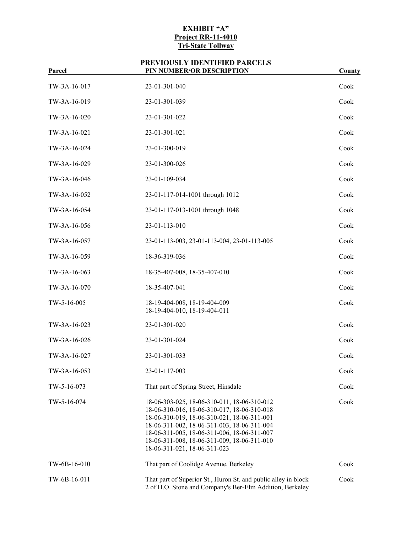| <u>Parcel</u> | PIN NUMBER/OR DESCRIPTION                                                                                                                                                                                                                                                                                              | County |
|---------------|------------------------------------------------------------------------------------------------------------------------------------------------------------------------------------------------------------------------------------------------------------------------------------------------------------------------|--------|
| TW-3A-16-017  | 23-01-301-040                                                                                                                                                                                                                                                                                                          | Cook   |
| TW-3A-16-019  | 23-01-301-039                                                                                                                                                                                                                                                                                                          | Cook   |
| TW-3A-16-020  | 23-01-301-022                                                                                                                                                                                                                                                                                                          | Cook   |
| TW-3A-16-021  | 23-01-301-021                                                                                                                                                                                                                                                                                                          | Cook   |
| TW-3A-16-024  | 23-01-300-019                                                                                                                                                                                                                                                                                                          | Cook   |
| TW-3A-16-029  | 23-01-300-026                                                                                                                                                                                                                                                                                                          | Cook   |
| TW-3A-16-046  | 23-01-109-034                                                                                                                                                                                                                                                                                                          | Cook   |
| TW-3A-16-052  | 23-01-117-014-1001 through 1012                                                                                                                                                                                                                                                                                        | Cook   |
| TW-3A-16-054  | 23-01-117-013-1001 through 1048                                                                                                                                                                                                                                                                                        | Cook   |
| TW-3A-16-056  | 23-01-113-010                                                                                                                                                                                                                                                                                                          | Cook   |
| TW-3A-16-057  | 23-01-113-003, 23-01-113-004, 23-01-113-005                                                                                                                                                                                                                                                                            | Cook   |
| TW-3A-16-059  | 18-36-319-036                                                                                                                                                                                                                                                                                                          | Cook   |
| TW-3A-16-063  | 18-35-407-008, 18-35-407-010                                                                                                                                                                                                                                                                                           | Cook   |
| TW-3A-16-070  | 18-35-407-041                                                                                                                                                                                                                                                                                                          | Cook   |
| TW-5-16-005   | 18-19-404-008, 18-19-404-009<br>18-19-404-010, 18-19-404-011                                                                                                                                                                                                                                                           | Cook   |
| TW-3A-16-023  | 23-01-301-020                                                                                                                                                                                                                                                                                                          | Cook   |
| TW-3A-16-026  | 23-01-301-024                                                                                                                                                                                                                                                                                                          | Cook   |
| TW-3A-16-027  | 23-01-301-033                                                                                                                                                                                                                                                                                                          | Cook   |
| TW-3A-16-053  | 23-01-117-003                                                                                                                                                                                                                                                                                                          | Cook   |
| TW-5-16-073   | That part of Spring Street, Hinsdale                                                                                                                                                                                                                                                                                   | Cook   |
| TW-5-16-074   | 18-06-303-025, 18-06-310-011, 18-06-310-012<br>18-06-310-016, 18-06-310-017, 18-06-310-018<br>18-06-310-019, 18-06-310-021, 18-06-311-001<br>18-06-311-002, 18-06-311-003, 18-06-311-004<br>18-06-311-005, 18-06-311-006, 18-06-311-007<br>18-06-311-008, 18-06-311-009, 18-06-311-010<br>18-06-311-021, 18-06-311-023 | Cook   |
| TW-6B-16-010  | That part of Coolidge Avenue, Berkeley                                                                                                                                                                                                                                                                                 | Cook   |
| TW-6B-16-011  | That part of Superior St., Huron St. and public alley in block<br>2 of H.O. Stone and Company's Ber-Elm Addition, Berkeley                                                                                                                                                                                             | Cook   |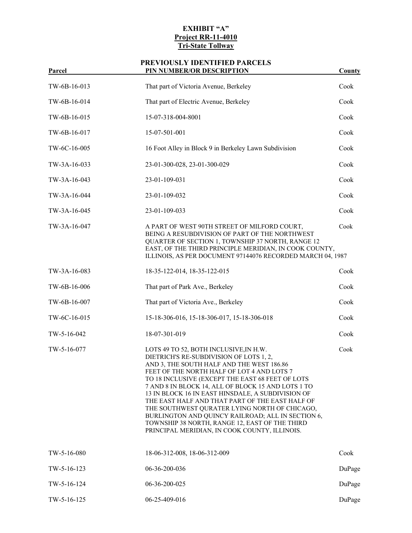| rarcei       | PIN NUMBER/OK DESCRIPTION                                                                                                                                                                                                                                                                                                                                                                                                                                                                                                                                                                               | County |
|--------------|---------------------------------------------------------------------------------------------------------------------------------------------------------------------------------------------------------------------------------------------------------------------------------------------------------------------------------------------------------------------------------------------------------------------------------------------------------------------------------------------------------------------------------------------------------------------------------------------------------|--------|
| TW-6B-16-013 | That part of Victoria Avenue, Berkeley                                                                                                                                                                                                                                                                                                                                                                                                                                                                                                                                                                  | Cook   |
| TW-6B-16-014 | That part of Electric Avenue, Berkeley                                                                                                                                                                                                                                                                                                                                                                                                                                                                                                                                                                  | Cook   |
| TW-6B-16-015 | 15-07-318-004-8001                                                                                                                                                                                                                                                                                                                                                                                                                                                                                                                                                                                      | Cook   |
| TW-6B-16-017 | 15-07-501-001                                                                                                                                                                                                                                                                                                                                                                                                                                                                                                                                                                                           | Cook   |
| TW-6C-16-005 | 16 Foot Alley in Block 9 in Berkeley Lawn Subdivision                                                                                                                                                                                                                                                                                                                                                                                                                                                                                                                                                   | Cook   |
| TW-3A-16-033 | 23-01-300-028, 23-01-300-029                                                                                                                                                                                                                                                                                                                                                                                                                                                                                                                                                                            | Cook   |
| TW-3A-16-043 | 23-01-109-031                                                                                                                                                                                                                                                                                                                                                                                                                                                                                                                                                                                           | Cook   |
| TW-3A-16-044 | 23-01-109-032                                                                                                                                                                                                                                                                                                                                                                                                                                                                                                                                                                                           | Cook   |
| TW-3A-16-045 | 23-01-109-033                                                                                                                                                                                                                                                                                                                                                                                                                                                                                                                                                                                           | Cook   |
| TW-3A-16-047 | A PART OF WEST 90TH STREET OF MILFORD COURT,<br>BEING A RESUBDIVISION OF PART OF THE NORTHWEST<br>QUARTER OF SECTION 1, TOWNSHIP 37 NORTH, RANGE 12<br>EAST, OF THE THIRD PRINCIPLE MERIDIAN, IN COOK COUNTY,<br>ILLINOIS, AS PER DOCUMENT 97144076 RECORDED MARCH 04, 1987                                                                                                                                                                                                                                                                                                                             | Cook   |
| TW-3A-16-083 | 18-35-122-014, 18-35-122-015                                                                                                                                                                                                                                                                                                                                                                                                                                                                                                                                                                            | Cook   |
| TW-6B-16-006 | That part of Park Ave., Berkeley                                                                                                                                                                                                                                                                                                                                                                                                                                                                                                                                                                        | Cook   |
| TW-6B-16-007 | That part of Victoria Ave., Berkeley                                                                                                                                                                                                                                                                                                                                                                                                                                                                                                                                                                    | Cook   |
| TW-6C-16-015 | 15-18-306-016, 15-18-306-017, 15-18-306-018                                                                                                                                                                                                                                                                                                                                                                                                                                                                                                                                                             | Cook   |
| TW-5-16-042  | 18-07-301-019                                                                                                                                                                                                                                                                                                                                                                                                                                                                                                                                                                                           | Cook   |
| TW-5-16-077  | LOTS 49 TO 52, BOTH INCLUSIVE, IN H.W.<br>DIETRICH'S RE-SUBDIVISION OF LOTS 1, 2,<br>AND 3, THE SOUTH HALF AND THE WEST 186.86<br>FEET OF THE NORTH HALF OF LOT 4 AND LOTS 7<br>TO 18 INCLUSIVE (EXCEPT THE EAST 68 FEET OF LOTS<br>7 AND 8 IN BLOCK 14, ALL OF BLOCK 15 AND LOTS 1 TO<br>13 IN BLOCK 16 IN EAST HINSDALE, A SUBDIVISION OF<br>THE EAST HALF AND THAT PART OF THE EAST HALF OF<br>THE SOUTHWEST QURATER LYING NORTH OF CHICAGO,<br>BURLINGTON AND QUINCY RAILROAD; ALL IN SECTION 6,<br>TOWNSHIP 38 NORTH, RANGE 12, EAST OF THE THIRD<br>PRINCIPAL MERIDIAN, IN COOK COUNTY, ILLINOIS. | Cook   |
| TW-5-16-080  | 18-06-312-008, 18-06-312-009                                                                                                                                                                                                                                                                                                                                                                                                                                                                                                                                                                            | Cook   |
| TW-5-16-123  | 06-36-200-036                                                                                                                                                                                                                                                                                                                                                                                                                                                                                                                                                                                           | DuPage |
| TW-5-16-124  | 06-36-200-025                                                                                                                                                                                                                                                                                                                                                                                                                                                                                                                                                                                           | DuPage |
| TW-5-16-125  | 06-25-409-016                                                                                                                                                                                                                                                                                                                                                                                                                                                                                                                                                                                           | DuPage |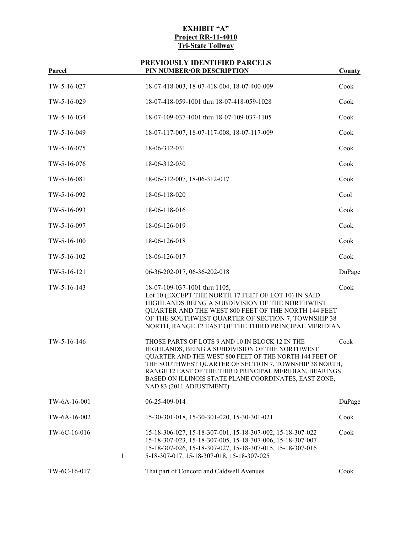| 1 ai cei      |   | I II I RUMDER/OR DESCRII TIOR                                                                                                                                                                                                                                                                                                                                          | County |
|---------------|---|------------------------------------------------------------------------------------------------------------------------------------------------------------------------------------------------------------------------------------------------------------------------------------------------------------------------------------------------------------------------|--------|
| TW-5-16-027   |   | 18-07-418-003, 18-07-418-004, 18-07-400-009                                                                                                                                                                                                                                                                                                                            | Cook   |
| TW-5-16-029   |   | 18-07-418-059-1001 thru 18-07-418-059-1028                                                                                                                                                                                                                                                                                                                             | Cook   |
| TW-5-16-034   |   | 18-07-109-037-1001 thru 18-07-109-037-1105                                                                                                                                                                                                                                                                                                                             | Cook   |
| TW-5-16-049   |   | 18-07-117-007, 18-07-117-008, 18-07-117-009                                                                                                                                                                                                                                                                                                                            | Cook   |
| TW-5-16-075   |   | 18-06-312-031                                                                                                                                                                                                                                                                                                                                                          | Cook   |
| TW-5-16-076   |   | 18-06-312-030                                                                                                                                                                                                                                                                                                                                                          | Cook   |
| TW-5-16-081   |   | 18-06-312-007, 18-06-312-017                                                                                                                                                                                                                                                                                                                                           | Cook   |
| TW-5-16-092   |   | 18-06-118-020                                                                                                                                                                                                                                                                                                                                                          | Cool   |
| TW-5-16-093   |   | 18-06-118-016                                                                                                                                                                                                                                                                                                                                                          | Cook   |
| TW-5-16-097   |   | 18-06-126-019                                                                                                                                                                                                                                                                                                                                                          | Cook   |
| $TW-5-16-100$ |   | 18-06-126-018                                                                                                                                                                                                                                                                                                                                                          | Cook   |
| $TW-5-16-102$ |   | 18-06-126-017                                                                                                                                                                                                                                                                                                                                                          | Cook   |
| $TW-5-16-121$ |   | 06-36-202-017, 06-36-202-018                                                                                                                                                                                                                                                                                                                                           | DuPage |
| TW-5-16-143   |   | 18-07-109-037-1001 thru 1105,<br>Lot 10 (EXCEPT THE NORTH 17 FEET OF LOT 10) IN SAID<br>HIGHLANDS BEING A SUBDIVISION OF THE NORTHWEST<br>QUARTER AND THE WEST 800 FEET OF THE NORTH 144 FEET<br>OF THE SOUTHWEST QUARTER OF SECTION 7, TOWNSHIP 38<br>NORTH, RANGE 12 EAST OF THE THIRD PRINCIPAL MERIDIAN                                                            | Cook   |
| TW-5-16-146   |   | THOSE PARTS OF LOTS 9 AND 10 IN BLOCK 12 IN THE<br>HIGHLANDS, BEING A SUBDIVISION OF THE NORTHWEST<br>QUARTER AND THE WEST 800 FEET OF THE NORTH 144 FEET OF<br>THE SOUTHWEST QUARTER OF SECTION 7, TOWNSHIP 38 NORTH,<br>RANGE 12 EAST OF THE THIRD PRINCIPAL MERIDIAN, BEARINGS<br>BASED ON ILLINOIS STATE PLANE COORDINATES, EAST ZONE,<br>NAD 83 (2011 ADJUSTMENT) | Cook   |
| TW-6A-16-001  |   | 06-25-409-014                                                                                                                                                                                                                                                                                                                                                          | DuPage |
| TW-6A-16-002  |   | 15-30-301-018, 15-30-301-020, 15-30-301-021                                                                                                                                                                                                                                                                                                                            | Cook   |
| TW-6C-16-016  | 1 | 15-18-306-027, 15-18-307-001, 15-18-307-002, 15-18-307-022<br>15-18-307-023, 15-18-307-005, 15-18-307-006, 15-18-307-007<br>15-18-307-026, 15-18-307-027, 15-18-307-015, 15-18-307-016<br>5-18-307-017, 15-18-307-018, 15-18-307-025                                                                                                                                   | Cook   |
| TW-6C-16-017  |   | That part of Concord and Caldwell Avenues                                                                                                                                                                                                                                                                                                                              | Cook   |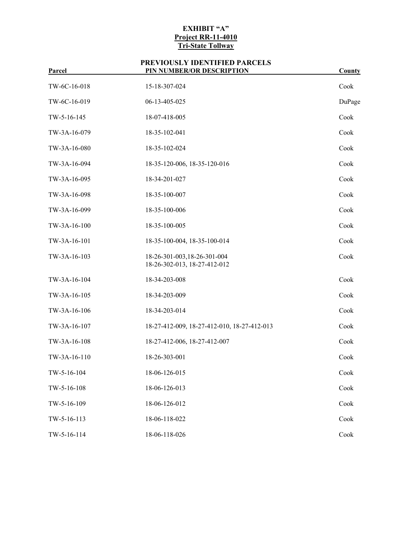| і агсеі      | <u>I IN NOMBENON DESCNII TION</u>                            | <u>County</u> |
|--------------|--------------------------------------------------------------|---------------|
| TW-6C-16-018 | 15-18-307-024                                                | Cook          |
| TW-6C-16-019 | 06-13-405-025                                                | DuPage        |
| TW-5-16-145  | 18-07-418-005                                                | Cook          |
| TW-3A-16-079 | 18-35-102-041                                                | Cook          |
| TW-3A-16-080 | 18-35-102-024                                                | Cook          |
| TW-3A-16-094 | 18-35-120-006, 18-35-120-016                                 | Cook          |
| TW-3A-16-095 | 18-34-201-027                                                | Cook          |
| TW-3A-16-098 | 18-35-100-007                                                | Cook          |
| TW-3A-16-099 | 18-35-100-006                                                | Cook          |
| TW-3A-16-100 | 18-35-100-005                                                | Cook          |
| TW-3A-16-101 | 18-35-100-004, 18-35-100-014                                 | Cook          |
| TW-3A-16-103 | 18-26-301-003, 18-26-301-004<br>18-26-302-013, 18-27-412-012 | Cook          |
| TW-3A-16-104 | 18-34-203-008                                                | Cook          |
| TW-3A-16-105 | 18-34-203-009                                                | Cook          |
| TW-3A-16-106 | 18-34-203-014                                                | Cook          |
| TW-3A-16-107 | 18-27-412-009, 18-27-412-010, 18-27-412-013                  | Cook          |
| TW-3A-16-108 | 18-27-412-006, 18-27-412-007                                 | Cook          |
| TW-3A-16-110 | 18-26-303-001                                                | Cook          |
| TW-5-16-104  | 18-06-126-015                                                | Cook          |
| TW-5-16-108  | 18-06-126-013                                                | Cook          |
| TW-5-16-109  | 18-06-126-012                                                | Cook          |
| TW-5-16-113  | 18-06-118-022                                                | Cook          |
| TW-5-16-114  | 18-06-118-026                                                | Cook          |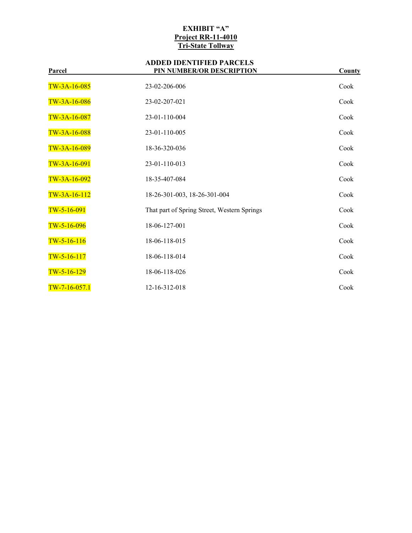| l al UCI        | I IN NORDER/OR DESCRII TION                 | <u>County</u> |
|-----------------|---------------------------------------------|---------------|
| TW-3A-16-085    | 23-02-206-006                               | Cook          |
| TW-3A-16-086    | 23-02-207-021                               | Cook          |
| $TW-3A-16-087$  | 23-01-110-004                               | Cook          |
| TW-3A-16-088    | 23-01-110-005                               | Cook          |
| TW-3A-16-089    | 18-36-320-036                               | Cook          |
| TW-3A-16-091    | 23-01-110-013                               | Cook          |
| TW-3A-16-092    | 18-35-407-084                               | Cook          |
| $TW-3A-16-112$  | 18-26-301-003, 18-26-301-004                | Cook          |
| $TW-5-16-091$   | That part of Spring Street, Western Springs | Cook          |
| $TW-5-16-096$   | 18-06-127-001                               | Cook          |
| $TW-5-16-116$   | 18-06-118-015                               | Cook          |
| $TW-5-16-117$   | 18-06-118-014                               | Cook          |
| $TW-5-16-129$   | 18-06-118-026                               | Cook          |
| $TW-7-16-057.1$ | 12-16-312-018                               | Cook          |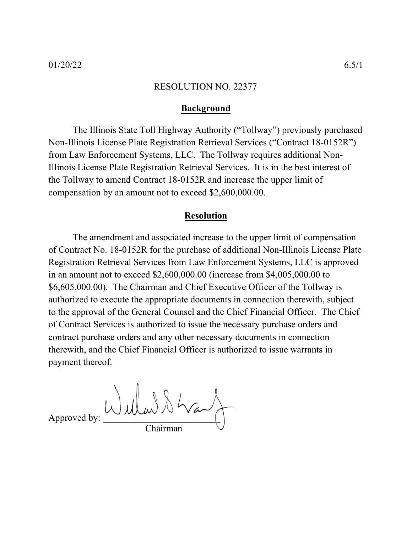## **Background**

The Illinois State Toll Highway Authority ("Tollway") previously purchased Non-Illinois License Plate Registration Retrieval Services ("Contract 18-0152R") from Law Enforcement Systems, LLC. The Tollway requires additional Non-Illinois License Plate Registration Retrieval Services. It is in the best interest of the Tollway to amend Contract 18-0152R and increase the upper limit of compensation by an amount not to exceed \$2,600,000.00.

## **Resolution**

The amendment and associated increase to the upper limit of compensation of Contract No. 18-0152R for the purchase of additional Non-Illinois License Plate Registration Retrieval Services from Law Enforcement Systems, LLC is approved in an amount not to exceed \$2,600,000.00 (increase from \$4,005,000.00 to \$6,605,000.00). The Chairman and Chief Executive Officer of the Tollway is authorized to execute the appropriate documents in connection therewith, subject to the approval of the General Counsel and the Chief Financial Officer. The Chief of Contract Services is authorized to issue the necessary purchase orders and contract purchase orders and any other necessary documents in connection therewith, and the Chief Financial Officer is authorized to issue warrants in payment thereof.

Approved by: W when  $\lambda \sim$ Chairman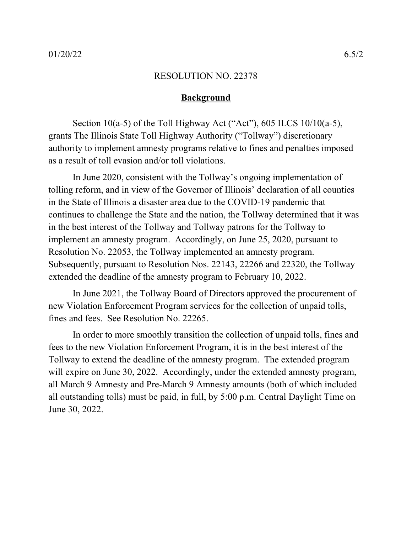## **Background**

Section 10(a-5) of the Toll Highway Act ("Act"), 605 ILCS  $10/10(a-5)$ , grants The Illinois State Toll Highway Authority ("Tollway") discretionary authority to implement amnesty programs relative to fines and penalties imposed as a result of toll evasion and/or toll violations.

In June 2020, consistent with the Tollway's ongoing implementation of tolling reform, and in view of the Governor of Illinois' declaration of all counties in the State of Illinois a disaster area due to the COVID-19 pandemic that continues to challenge the State and the nation, the Tollway determined that it was in the best interest of the Tollway and Tollway patrons for the Tollway to implement an amnesty program. Accordingly, on June 25, 2020, pursuant to Resolution No. 22053, the Tollway implemented an amnesty program. Subsequently, pursuant to Resolution Nos. 22143, 22266 and 22320, the Tollway extended the deadline of the amnesty program to February 10, 2022.

In June 2021, the Tollway Board of Directors approved the procurement of new Violation Enforcement Program services for the collection of unpaid tolls, fines and fees. See Resolution No. 22265.

In order to more smoothly transition the collection of unpaid tolls, fines and fees to the new Violation Enforcement Program, it is in the best interest of the Tollway to extend the deadline of the amnesty program. The extended program will expire on June 30, 2022. Accordingly, under the extended amnesty program, all March 9 Amnesty and Pre-March 9 Amnesty amounts (both of which included all outstanding tolls) must be paid, in full, by 5:00 p.m. Central Daylight Time on June 30, 2022.